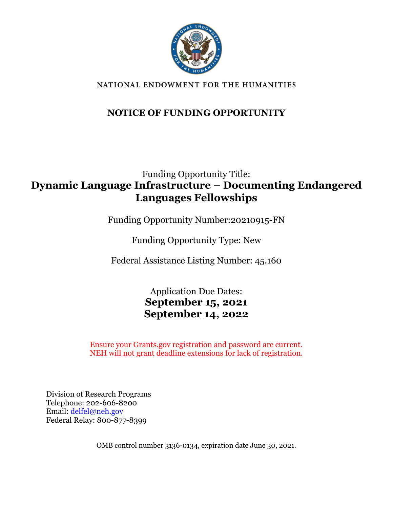

#### NATIONAL ENDOWMENT FOR THE HUMANITIES

### **NOTICE OF FUNDING OPPORTUNITY**

## Funding Opportunity Title: **Dynamic Language Infrastructure – Documenting Endangered Languages Fellowships**

Funding Opportunity Number:20210915-FN

Funding Opportunity Type: New

Federal Assistance Listing Number: 45.160

Application Due Dates: **September 15, 2021 September 14, 2022**

Ensure your Grants.gov registration and password are current. NEH will not grant deadline extensions for lack of registration.

Division of Research Programs Telephone: 202-606-8200 Email: [delfel@neh.gov](mailto:delfel@neh.gov) Federal Relay: 800-877-8399

OMB control number 3136-0134, expiration date June 30, 2021.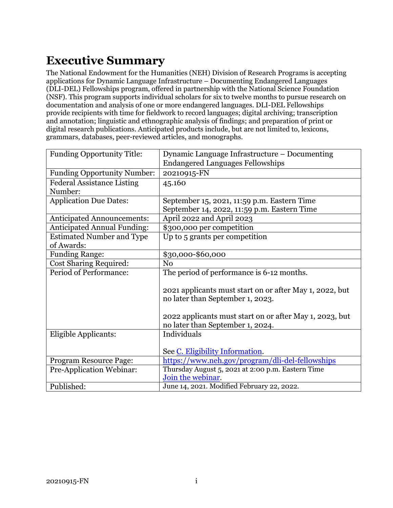# <span id="page-1-0"></span>**Executive Summary**

The National Endowment for the Humanities (NEH) Division of Research Programs is accepting applications for Dynamic Language Infrastructure – Documenting Endangered Languages (DLI-DEL) Fellowships program, offered in partnership with the National Science Foundation (NSF). This program supports individual scholars for six to twelve months to pursue research on documentation and analysis of one or more endangered languages. DLI-DEL Fellowships provide recipients with time for fieldwork to record languages; digital archiving; transcription and annotation; linguistic and ethnographic analysis of findings; and preparation of print or digital research publications. Anticipated products include, but are not limited to, lexicons, grammars, databases, peer-reviewed articles, and monographs.

| <b>Funding Opportunity Title:</b>  | Dynamic Language Infrastructure - Documenting           |  |  |
|------------------------------------|---------------------------------------------------------|--|--|
|                                    | <b>Endangered Languages Fellowships</b>                 |  |  |
| <b>Funding Opportunity Number:</b> | 20210915-FN                                             |  |  |
| <b>Federal Assistance Listing</b>  | 45.160                                                  |  |  |
| Number:                            |                                                         |  |  |
| <b>Application Due Dates:</b>      | September 15, 2021, 11:59 p.m. Eastern Time             |  |  |
|                                    | September 14, 2022, 11:59 p.m. Eastern Time             |  |  |
| <b>Anticipated Announcements:</b>  | April 2022 and April 2023                               |  |  |
| <b>Anticipated Annual Funding:</b> | \$300,000 per competition                               |  |  |
| <b>Estimated Number and Type</b>   | Up to 5 grants per competition                          |  |  |
| of Awards:                         |                                                         |  |  |
| <b>Funding Range:</b>              | \$30,000-\$60,000                                       |  |  |
| <b>Cost Sharing Required:</b>      | No                                                      |  |  |
| Period of Performance:             | The period of performance is 6-12 months.               |  |  |
|                                    |                                                         |  |  |
|                                    | 2021 applicants must start on or after May 1, 2022, but |  |  |
|                                    | no later than September 1, 2023.                        |  |  |
|                                    |                                                         |  |  |
|                                    | 2022 applicants must start on or after May 1, 2023, but |  |  |
|                                    | no later than September 1, 2024.                        |  |  |
| Eligible Applicants:               | Individuals                                             |  |  |
|                                    |                                                         |  |  |
|                                    | See C. Eligibility Information.                         |  |  |
| <b>Program Resource Page:</b>      | https://www.neh.gov/program/dli-del-fellowships         |  |  |
| <b>Pre-Application Webinar:</b>    | Thursday August 5, 2021 at 2:00 p.m. Eastern Time       |  |  |
|                                    | Join the webinar.                                       |  |  |
| Published:                         | June 14, 2021. Modified February 22, 2022.              |  |  |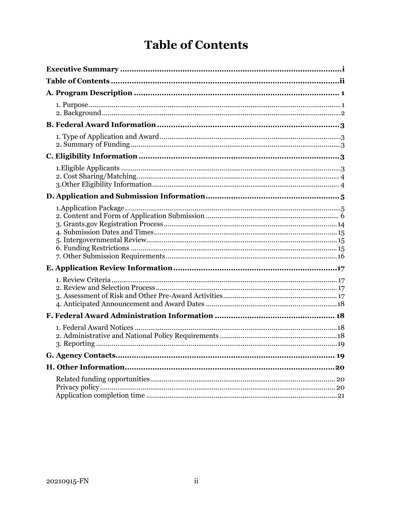# **Table of Contents**

<span id="page-2-0"></span>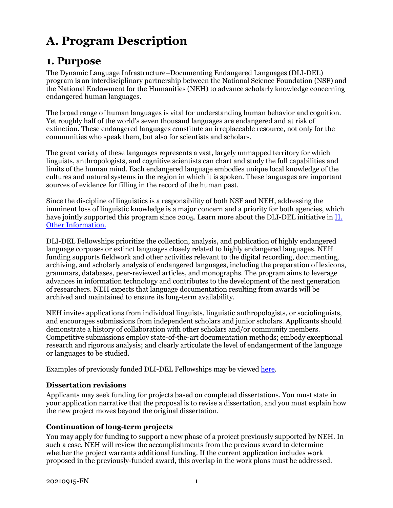# <span id="page-3-0"></span>**A. Program Description**

## <span id="page-3-1"></span>**1. Purpose**

The Dynamic Language Infrastructure–Documenting Endangered Languages (DLI-DEL) program is an interdisciplinary partnership between the National Science Foundation (NSF) and the National Endowment for the Humanities (NEH) to advance scholarly knowledge concerning endangered human languages.

The broad range of human languages is vital for understanding human behavior and cognition. Yet roughly half of the world's seven thousand languages are endangered and at risk of extinction. These endangered languages constitute an irreplaceable resource, not only for the communities who speak them, but also for scientists and scholars.

The great variety of these languages represents a vast, largely unmapped territory for which linguists, anthropologists, and cognitive scientists can chart and study the full capabilities and limits of the human mind. Each endangered language embodies unique local knowledge of the cultures and natural systems in the region in which it is spoken. These languages are important sources of evidence for filling in the record of the human past.

Since the discipline of linguistics is a responsibility of both NSF and NEH, addressing the imminent loss of linguistic knowledge is a major concern and a priority for both agencies, which have jointly supported this program since 2005. Learn more about the DLI-DEL initiative in H. [Other Information.](#page-22-0)

DLI-DEL Fellowships prioritize the collection, analysis, and publication of highly endangered language corpuses or extinct languages closely related to highly endangered languages. NEH funding supports fieldwork and other activities relevant to the digital recording, documenting, archiving, and scholarly analysis of endangered languages, including the preparation of lexicons, grammars, databases, peer-reviewed articles, and monographs. The program aims to leverage advances in information technology and contributes to the development of the next generation of researchers. NEH expects that language documentation resulting from awards will be archived and maintained to ensure its long-term availability.

NEH invites applications from individual linguists, linguistic anthropologists, or sociolinguists, and encourages submissions from independent scholars and junior scholars. Applicants should demonstrate a history of collaboration with other scholars and/or community members. Competitive submissions employ state-of-the-art documentation methods; embody exceptional research and rigorous analysis; and clearly articulate the level of endangerment of the language or languages to be studied.

Examples of previously funded DLI-DEL Fellowships may be viewe[d here.](https://securegrants.neh.gov/publicquery/main.aspx?q=1&a=0&n=0&o=0&ot=0&k=0&f=0&s=0&cd=0&p=1&pv=238&d=0&at=0&y=0&prd=0&cov=0&prz=0&wp=0&ob=year&or=DESC)

#### **Dissertation revisions**

Applicants may seek funding for projects based on completed dissertations. You must state in your application narrative that the proposal is to revise a dissertation, and you must explain how the new project moves beyond the original dissertation.

#### **Continuation of long-term projects**

You may apply for funding to support a new phase of a project previously supported by NEH. In such a case, NEH will review the accomplishments from the previous award to determine whether the project warrants additional funding. If the current application includes work proposed in the previously-funded award, this overlap in the work plans must be addressed.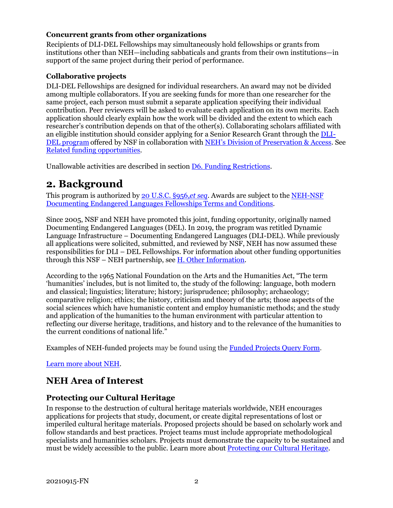#### **Concurrent grants from other organizations**

Recipients of DLI-DEL Fellowships may simultaneously hold fellowships or grants from institutions other than NEH—including sabbaticals and grants from their own institutions—in support of the same project during their period of performance.

#### **Collaborative projects**

DLI-DEL Fellowships are designed for individual researchers. An award may not be divided among multiple collaborators. If you are seeking funds for more than one researcher for the same project, each person must submit a separate application specifying their individual contribution. Peer reviewers will be asked to evaluate each application on its own merits. Each application should clearly explain how the work will be divided and the extent to which each researcher's contribution depends on that of the other(s). Collaborating scholars affiliated with an eligible institution should consider applying for a Senior Research Grant through th[e DLI-](https://www.nsf.gov/funding/pgm_summ.jsp?pims_id=505705)[DEL program](https://www.nsf.gov/funding/pgm_summ.jsp?pims_id=505705) offered by NSF in collaboration with [NEH's Division of Preservation & Access.](https://www.neh.gov/grants/preservation/documenting-endangered-languages) See [Related funding opportunities.](#page-22-1)

<span id="page-4-0"></span>Unallowable activities are described in sectio[n D6. Funding Restrictions.](#page-17-2)

### **2. Background**

This program is authorized by [20 U.S.C.](https://uscode.house.gov/view.xhtml?hl=false&edition=prelim&req=granuleid%3AUSC-prelim-title20-section956&num=0&saved=%7CKHRpdGxlOjIwIHNlY3Rpb246OTU2YSBlZGl0aW9uOnByZWxpbSk%3D%7C%7C%7C0%7Cfalse%7Cprelim) §956,*et seq*. Awards are subject to the [NEH-NSF](https://www.neh.gov/grants/manage/neh-nsf-documenting-endangered-languages-fellowships-terms-and-conditions)  [Documenting Endangered Languages Fellowships Terms and Conditions.](https://www.neh.gov/grants/manage/neh-nsf-documenting-endangered-languages-fellowships-terms-and-conditions)

Since 2005, NSF and NEH have promoted this joint, funding opportunity, originally named Documenting Endangered Languages (DEL). In 2019, the program was retitled Dynamic Language Infrastructure – Documenting Endangered Languages (DLI-DEL). While previously all applications were solicited, submitted, and reviewed by NSF, NEH has now assumed these responsibilities for DLI – DEL Fellowships. For information about other funding opportunities through this NSF – NEH partnership, see [H. Other Information.](#page-22-0)

According to the 1965 National Foundation on the Arts and the Humanities Act, "The term 'humanities' includes, but is not limited to, the study of the following: language, both modern and classical; linguistics; literature; history; jurisprudence; philosophy; archaeology; comparative religion; ethics; the history, criticism and theory of the arts; those aspects of the social sciences which have humanistic content and employ humanistic methods; and the study and application of the humanities to the human environment with particular attention to reflecting our diverse heritage, traditions, and history and to the relevance of the humanities to the current conditions of national life."

Examples of NEH-funded projects may be found using the [Funded Projects Query](https://securegrants.neh.gov/publicquery/main.aspx) Form.

[Learn more about NEH.](https://www.neh.gov/about)

### **NEH Area of Interest**

#### **Protecting our Cultural Heritage**

In response to the destruction of cultural heritage materials worldwide, NEH encourages applications for projects that study, document, or create digital representations of lost or imperiled cultural heritage materials. Proposed projects should be based on scholarly work and follow standards and best practices. Project teams must include appropriate methodological specialists and humanities scholars. Projects must demonstrate the capacity to be sustained and must be widely accessible to the public. Learn more about [Protecting our Cultural Heritage.](https://www.neh.gov/grants/protecting-our-cultural-heritage)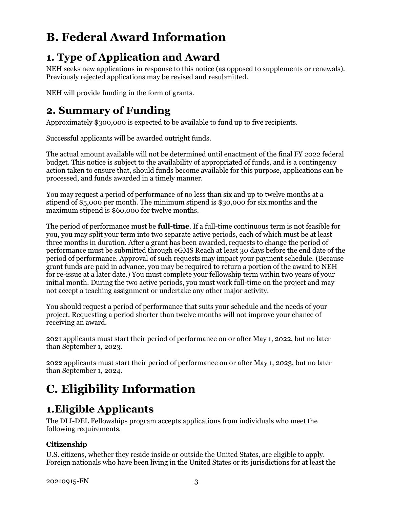# <span id="page-5-1"></span>**B. Federal Award Information**

# <span id="page-5-2"></span>**1. Type of Application and Award**

NEH seeks new applications in response to this notice (as opposed to supplements or renewals). Previously rejected applications may be revised and resubmitted.

<span id="page-5-3"></span>NEH will provide funding in the form of grants.

## **2. Summary of Funding**

Approximately \$300,000 is expected to be available to fund up to five recipients.

Successful applicants will be awarded outright funds.

The actual amount available will not be determined until enactment of the final FY 2022 federal budget. This notice is subject to the availability of appropriated of funds, and is a contingency action taken to ensure that, should funds become available for this purpose, applications can be processed, and funds awarded in a timely manner.

You may request a period of performance of no less than six and up to twelve months at a stipend of \$5,000 per month. The minimum stipend is \$30,000 for six months and the maximum stipend is \$60,000 for twelve months.

The period of performance must be **full-time**. If a full-time continuous term is not feasible for you, you may split your term into two separate active periods, each of which must be at least three months in duration. After a grant has been awarded, requests to change the period of performance must be submitted through eGMS Reach at least 30 days before the end date of the period of performance. Approval of such requests may impact your payment schedule. (Because grant funds are paid in advance, you may be required to return a portion of the award to NEH for re-issue at a later date.) You must complete your fellowship term within two years of your initial month. During the two active periods, you must work full-time on the project and may not accept a teaching assignment or undertake any other major activity.

You should request a period of performance that suits your schedule and the needs of your project. Requesting a period shorter than twelve months will not improve your chance of receiving an award.

2021 applicants must start their period of performance on or after May 1, 2022, but no later than September 1, 2023.

2022 applicants must start their period of performance on or after May 1, 2023, but no later than September 1, 2024.

# <span id="page-5-0"></span>**C. Eligibility Information**

# <span id="page-5-4"></span>**1.Eligible Applicants**

The DLI-DEL Fellowships program accepts applications from individuals who meet the following requirements.

#### **Citizenship**

U.S. citizens, whether they reside inside or outside the United States, are eligible to apply. Foreign nationals who have been living in the United States or its jurisdictions for at least the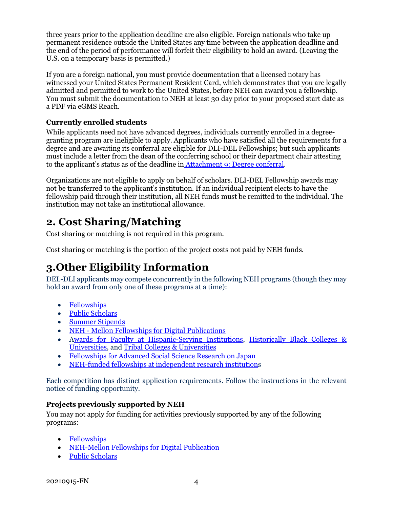three years prior to the application deadline are also eligible. Foreign nationals who take up permanent residence outside the United States any time between the application deadline and the end of the period of performance will forfeit their eligibility to hold an award. (Leaving the U.S. on a temporary basis is permitted.)

If you are a foreign national, you must provide documentation that a licensed notary has witnessed your United States Permanent Resident Card, which demonstrates that you are legally admitted and permitted to work to the United States, before NEH can award you a fellowship. You must submit the documentation to NEH at least 30 day prior to your proposed start date as a PDF via eGMS Reach.

#### **Currently enrolled students**

While applicants need not have advanced degrees, individuals currently enrolled in a degreegranting program are ineligible to apply. Applicants who have satisfied all the requirements for a degree and are awaiting its conferral are eligible for DLI-DEL Fellowships; but such applicants must include a letter from the dean of the conferring school or their department chair attesting to the applicant's status as of the deadline in [Attachment 9: Degree conferral.](#page-15-0)

Organizations are not eligible to apply on behalf of scholars. DLI-DEL Fellowship awards may not be transferred to the applicant's institution. If an individual recipient elects to have the fellowship paid through their institution, all NEH funds must be remitted to the individual. The institution may not take an institutional allowance.

## <span id="page-6-0"></span>**2. Cost Sharing/Matching**

Cost sharing or matching is not required in this program.

Cost sharing or matching is the portion of the project costs not paid by NEH funds.

# <span id="page-6-1"></span>**3.Other Eligibility Information**

DEL-DLI applicants may compete concurrently in the following NEH programs (though they may hold an award from only one of these programs at a time):

- [Fellowships](https://www.neh.gov/grants/research/fellowships)
- [Public Scholars](https://www.neh.gov/grants/research/public-scholar-program)
- [Summer Stipends](https://www.neh.gov/grants/research/summer-stipends)
- NEH [Mellon Fellowships for Digital Publications](https://www.neh.gov/grants/research/neh-mellon-fellowships-digital-publication)
- [Awards for Faculty at Hispanic-Serving Institutions,](https://www.neh.gov/grants/research/awards-faculty-hispanic-serving-institutions) [Historically Black Colleges &](https://www.neh.gov/grants/research/awards-faculty-historically-black-colleges-and-universities)  [Universities,](https://www.neh.gov/grants/research/awards-faculty-historically-black-colleges-and-universities) and [Tribal Colleges & Universities](https://www.neh.gov/grants/research/awards-faculty-tribal-colleges-and-universities)
- [Fellowships for Advanced Social Science Research on Japan](https://www.neh.gov/grants/research/fellowships-advanced-social-science-research-japan)
- [NEH-funded fellowships at independent research institutions](https://www.neh.gov/grants/research/fellowship-programs-independent-research-institutions)

Each competition has distinct application requirements. Follow the instructions in the relevant notice of funding opportunity.

#### **Projects previously supported by NEH**

You may not apply for funding for activities previously supported by any of the following programs:

- [Fellowships](https://www.neh.gov/grants/research/fellowships)
- [NEH-Mellon Fellowships for Digital Publication](https://www.neh.gov/grants/research/neh-mellon-fellowships-digital-publication)
- [Public Scholars](https://www.neh.gov/grants/research/public-scholar-program)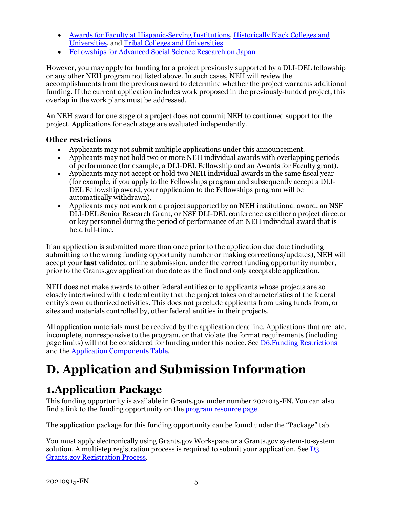- [Awards for Faculty at Hispanic-Serving Institutions,](https://www.neh.gov/grants/research/awards-faculty-hispanic-serving-institutions) [Historically Black Colleges and](https://www.neh.gov/grants/research/awards-faculty-historically-black-colleges-and-universities)  [Universities,](https://www.neh.gov/grants/research/awards-faculty-historically-black-colleges-and-universities) and [Tribal Colleges and Universities](https://www.neh.gov/grants/research/awards-faculty-tribal-colleges-and-universities)
- [Fellowships for Advanced Social Science Research on Japan](https://www.neh.gov/grants/research/fellowships-advanced-social-science-research-japan)

However, you may apply for funding for a project previously supported by a DLI-DEL fellowship or any other NEH program not listed above. In such cases, NEH will review the accomplishments from the previous award to determine whether the project warrants additional funding. If the current application includes work proposed in the previously-funded project, this overlap in the work plans must be addressed.

An NEH award for one stage of a project does not commit NEH to continued support for the project. Applications for each stage are evaluated independently.

#### **Other restrictions**

- Applicants may not submit multiple applications under this announcement.
- Applicants may not hold two or more NEH individual awards with overlapping periods of performance (for example, a DLI-DEL Fellowship and an Awards for Faculty grant).
- Applicants may not accept or hold two NEH individual awards in the same fiscal year (for example, if you apply to the Fellowships program and subsequently accept a DLI-DEL Fellowship award, your application to the Fellowships program will be automatically withdrawn).
- Applicants may not work on a project supported by an NEH institutional award, an NSF DLI-DEL Senior Research Grant, or NSF DLI-DEL conference as either a project director or key personnel during the period of performance of an NEH individual award that is held full-time.

If an application is submitted more than once prior to the application due date (including submitting to the wrong funding opportunity number or making corrections/updates), NEH will accept your **last** validated online submission, under the correct funding opportunity number, prior to the Grants.gov application due date as the final and only acceptable application.

NEH does not make awards to other federal entities or to applicants whose projects are so closely intertwined with a federal entity that the project takes on characteristics of the federal entity's own authorized activities. This does not preclude applicants from using funds from, or sites and materials controlled by, other federal entities in their projects.

All application materials must be received by the application deadline. Applications that are late, incomplete, nonresponsive to the program, or that violate the format requirements (including page limits) will not be considered for funding under this notice. See [D6.Funding Restrictions](#page-17-2) and the [Application Components Table.](#page-8-0)

# <span id="page-7-0"></span>**D. Application and Submission Information**

# <span id="page-7-1"></span>**1.Application Package**

This funding opportunity is available in Grants.gov under number 2021015-FN. You can also find a link to the funding opportunity on the **program resource page**.

The application package for this funding opportunity can be found under the "Package" tab.

You must apply electronically using Grants.gov Workspace or a Grants.gov system-to-system solution. A multistep registration process is required to submit your application. See [D3.](#page-16-0) [Grants.gov Registration Process.](#page-16-0)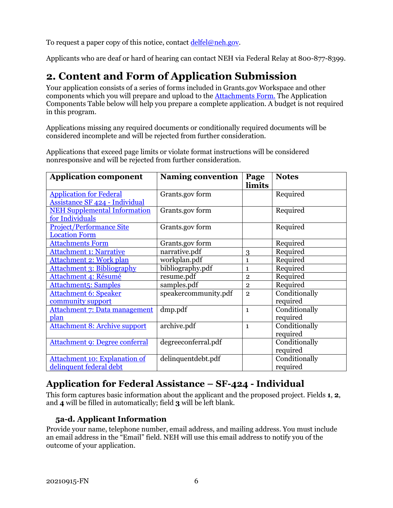To request a paper copy of this notice, contact [delfel@neh.gov.](mailto:delfel@neh.gov)

Applicants who are deaf or hard of hearing can contact NEH via Federal Relay at 800-877-8399.

# **2. Content and Form of Application Submission**

<span id="page-8-0"></span>Your application consists of a series of forms included in Grants.gov Workspace and other components which you will prepare and upload to the [Attachments Form.](#page-11-0) The Application Components Table below will help you prepare a complete application. A budget is not required in this program.

Applications missing any required documents or conditionally required documents will be considered incomplete and will be rejected from further consideration.

| <b>Application component</b>                                            | <b>Naming convention</b> | Page<br>limits | <b>Notes</b>  |
|-------------------------------------------------------------------------|--------------------------|----------------|---------------|
| <b>Application for Federal</b><br><b>Assistance SF 424 - Individual</b> | Grants.gov form          |                | Required      |
| <b>NEH Supplemental Information</b><br>for Individuals                  | Grants.gov form          |                | Required      |
| <b>Project/Performance Site</b><br><b>Location Form</b>                 | Grants.gov form          |                | Required      |
| <b>Attachments Form</b>                                                 | Grants.gov form          |                | Required      |
| <b>Attachment 1: Narrative</b>                                          | narrative.pdf            | 3              | Required      |
| Attachment 2: Work plan                                                 | workplan.pdf             | $\mathbf{1}$   | Required      |
| <b>Attachment 3: Bibliography</b>                                       | bibliography.pdf         | 1              | Required      |
| Attachment 4: Résumé                                                    | resume.pdf               | $\overline{2}$ | Required      |
| Attachment5: Samples                                                    | samples.pdf              | $\overline{2}$ | Required      |
| <b>Attachment 6: Speaker</b>                                            | speakercommunity.pdf     | $\overline{2}$ | Conditionally |
| community support                                                       |                          |                | required      |
| Attachment 7: Data management                                           | dmp.pdf                  | $\mathbf{1}$   | Conditionally |
| plan                                                                    |                          |                | required      |
| <b>Attachment 8: Archive support</b>                                    | archive.pdf              | $\mathbf{1}$   | Conditionally |
|                                                                         |                          |                | required      |
| <b>Attachment 9: Degree conferral</b>                                   | degreeconferral.pdf      |                | Conditionally |
|                                                                         |                          |                | required      |
| <b>Attachment 10: Explanation of</b>                                    | delinquentdebt.pdf       |                | Conditionally |
| delinquent federal debt                                                 |                          |                | required      |

Applications that exceed page limits or violate format instructions will be considered nonresponsive and will be rejected from further consideration.

### <span id="page-8-1"></span>**Application for Federal Assistance – SF-424 - Individual**

This form captures basic information about the applicant and the proposed project. Fields **1**, **2**, and **4** will be filled in automatically; field **3** will be left blank.

#### **5a-d. Applicant Information**

Provide your name, telephone number, email address, and mailing address. You must include an email address in the "Email" field. NEH will use this email address to notify you of the outcome of your application.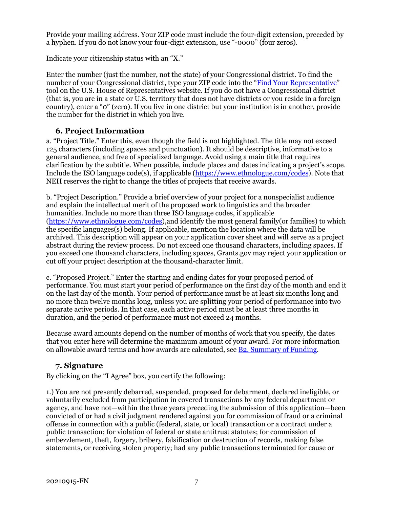Provide your mailing address. Your ZIP code must include the four-digit extension, preceded by a hyphen. If you do not know your four-digit extension, use "-0000" (four zeros).

Indicate your citizenship status with an "X."

Enter the number (just the number, not the state) of your Congressional district. To find the number of your Congressional district, type your ZIP code into the ["Find Your Representative"](https://www.house.gov/representatives/find-your-representative) tool on the U.S. House of Representatives website. If you do not have a Congressional district (that is, you are in a state or U.S. territory that does not have districts or you reside in a foreign country), enter a "0" (zero). If you live in one district but your institution is in another, provide the number for the district in which you live.

#### **6. Project Information**

a. "Project Title." Enter this, even though the field is not highlighted. The title may not exceed 125 characters (including spaces and punctuation). It should be descriptive, informative to a general audience, and free of specialized language. Avoid using a main title that requires clarification by the subtitle. When possible, include places and dates indicating a project's scope. Include the ISO language code(s), if applicable [\(https://www.ethnologue.com/codes\)](https://www.ethnologue.com/codes). Note that NEH reserves the right to change the titles of projects that receive awards.

b. "Project Description." Provide a brief overview of your project for a nonspecialist audience and explain the intellectual merit of the proposed work to linguistics and the broader humanities. Include no more than three ISO language codes, if applicable [\(https://www.ethnologue.com/codes\)](https://www.ethnologue.com/codes),and identify the most general family(or families) to which the specific languages(s) belong. If applicable, mention the location where the data will be archived. This description will appear on your application cover sheet and will serve as a project abstract during the review process. Do not exceed one thousand characters, including spaces. If you exceed one thousand characters, including spaces, Grants.gov may reject your application or cut off your project description at the thousand-character limit.

c. "Proposed Project." Enter the starting and ending dates for your proposed period of performance. You must start your period of performance on the first day of the month and end it on the last day of the month. Your period of performance must be at least six months long and no more than twelve months long, unless you are splitting your period of performance into two separate active periods. In that case, each active period must be at least three months in duration, and the period of performance must not exceed 24 months.

Because award amounts depend on the number of months of work that you specify, the dates that you enter here will determine the maximum amount of your award. For more information on allowable award terms and how awards are calculated, see **B2. Summary of Funding.** 

#### **7. Signature**

By clicking on the "I Agree" box, you certify the following:

1.) You are not presently debarred, suspended, proposed for debarment, declared ineligible, or voluntarily excluded from participation in covered transactions by any federal department or agency, and have not—within the three years preceding the submission of this application—been convicted of or had a civil judgment rendered against you for commission of fraud or a criminal offense in connection with a public (federal, state, or local) transaction or a contract under a public transaction; for violation of federal or state antitrust statutes; for commission of embezzlement, theft, forgery, bribery, falsification or destruction of records, making false statements, or receiving stolen property; had any public transactions terminated for cause or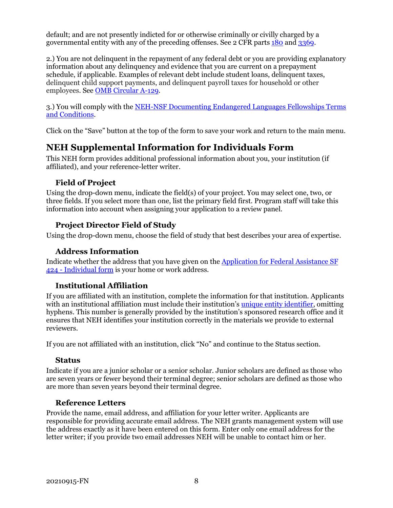default; and are not presently indicted for or otherwise criminally or civilly charged by a governmental entity with any of the preceding offenses. See 2 CFR parts [180](https://www.ecfr.gov/cgi-bin/text-idx?SID=c1289d8b76747052d92bcc65069016c1&mc=true&node=pt2.1.180&rgn=div5) and [3369.](https://www.ecfr.gov/cgi-bin/text-idx?SID=c1289d8b76747052d92bcc65069016c1&mc=true&node=pt2.1.3369&rgn=div5)

2.) You are not delinquent in the repayment of any federal debt or you are providing explanatory information about any delinquency and evidence that you are current on a prepayment schedule, if applicable. Examples of relevant debt include student loans, delinquent taxes, delinquent child support payments, and delinquent payroll taxes for household or other employees. See [OMB Circular A-129.](https://www.whitehouse.gov/sites/whitehouse.gov/files/omb/circulars/A129/a-129.pdf)

3.) You will comply with the [NEH-NSF Documenting Endangered Languages Fellowships Terms](https://www.neh.gov/grants/manage/neh-nsf-documenting-endangered-languages-fellowships-terms-and-conditions)  [and Conditions.](https://www.neh.gov/grants/manage/neh-nsf-documenting-endangered-languages-fellowships-terms-and-conditions)

Click on the "Save" button at the top of the form to save your work and return to the main menu.

### **NEH Supplemental Information for Individuals Form**

<span id="page-10-0"></span>This NEH form provides additional professional information about you, your institution (if affiliated), and your reference-letter writer.

#### **Field of Project**

Using the drop-down menu, indicate the field(s) of your project. You may select one, two, or three fields. If you select more than one, list the primary field first. Program staff will take this information into account when assigning your application to a review panel.

#### **Project Director Field of Study**

Using the drop-down menu, choose the field of study that best describes your area of expertise.

#### **Address Information**

Indicate whether the address that you have given on the [Application for Federal Assistance SF](#page-8-1)  424 - [Individual form](#page-8-1) is your home or work address.

#### **Institutional Affiliation**

If you are affiliated with an institution, complete the information for that institution. Applicants with an institutional affiliation must include their institution's [unique entity identifier,](https://www.gsa.gov/about-us/organization/federal-acquisition-service/office-of-systems-management/integrated-award-environment-iae/iae-information-kit/unique-entity-identifier-update) omitting hyphens. This number is generally provided by the institution's sponsored research office and it ensures that NEH identifies your institution correctly in the materials we provide to external reviewers.

If you are not affiliated with an institution, click "No" and continue to the Status section.

#### **Status**

Indicate if you are a junior scholar or a senior scholar. Junior scholars are defined as those who are seven years or fewer beyond their terminal degree; senior scholars are defined as those who are more than seven years beyond their terminal degree.

#### **Reference Letters**

Provide the name, email address, and affiliation for your letter writer. Applicants are responsible for providing accurate email address. The NEH grants management system will use the address exactly as it have been entered on this form. Enter only one email address for the letter writer; if you provide two email addresses NEH will be unable to contact him or her.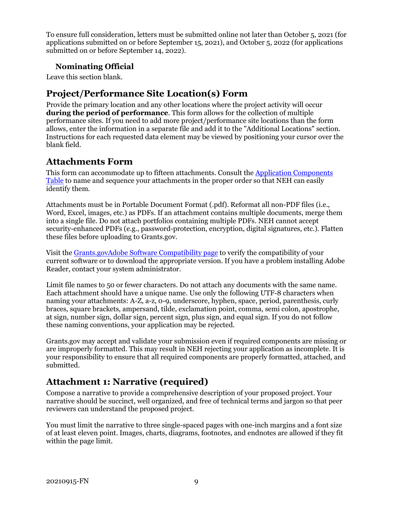To ensure full consideration, letters must be submitted online not later than October 5, 2021 (for applications submitted on or before September 15, 2021), and October 5, 2022 (for applications submitted on or before September 14, 2022).

#### **Nominating Official**

Leave this section blank.

### **Project/Performance Site Location(s) Form**

<span id="page-11-1"></span>Provide the primary location and any other locations where the project activity will occur **during the period of performance**. This form allows for the collection of multiple performance sites. If you need to add more project/performance site locations than the form allows, enter the information in a separate file and add it to the "Additional Locations" section. Instructions for each requested data element may be viewed by positioning your cursor over the blank field.

### **Attachments Form**

<span id="page-11-0"></span>This form can accommodate up to fifteen attachments. Consult the [Application Components](#page-8-0)  [Table](#page-8-0) to name and sequence your attachments in the proper order so that NEH can easily identify them.

Attachments must be in Portable Document Format (.pdf). Reformat all non-PDF files (i.e., Word, Excel, images, etc.) as PDFs. If an attachment contains multiple documents, merge them into a single file. Do not attach portfolios containing multiple PDFs. NEH cannot accept security-enhanced PDFs (e.g., password-protection, encryption, digital signatures, etc.). Flatten these files before uploading to Grants.gov.

Visit the [Grants.govAdobe Software Compatibility](https://www.grants.gov/web/grants/applicants/adobe-software-compatibility.html) page to verify the compatibility of your current software or to download the appropriate version. If you have a problem installing Adobe Reader, contact your system administrator.

Limit file names to 50 or fewer characters. Do not attach any documents with the same name. Each attachment should have a unique name. Use only the following UTF-8 characters when naming your attachments: A-Z, a-z, 0-9, underscore, hyphen, space, period, parenthesis, curly braces, square brackets, ampersand, tilde, exclamation point, comma, semi colon, apostrophe, at sign, number sign, dollar sign, percent sign, plus sign, and equal sign. If you do not follow these naming conventions, your application may be rejected.

Grants.gov may accept and validate your submission even if required components are missing or are improperly formatted. This may result in NEH rejecting your application as incomplete. It is your responsibility to ensure that all required components are properly formatted, attached, and submitted.

### <span id="page-11-2"></span>**Attachment 1: Narrative (required)**

Compose a narrative to provide a comprehensive description of your proposed project. Your narrative should be succinct, well organized, and free of technical terms and jargon so that peer reviewers can understand the proposed project.

You must limit the narrative to three single-spaced pages with one-inch margins and a font size of at least eleven point. Images, charts, diagrams, footnotes, and endnotes are allowed if they fit within the page limit.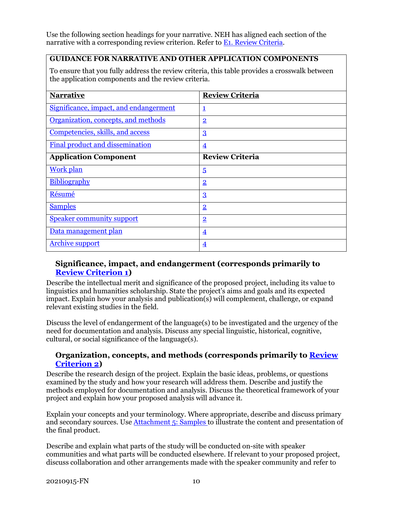Use the following section headings for your narrative. NEH has aligned each section of the narrative with a corresponding review criterion. Refer to **E1. Review Criteria.** 

#### **GUIDANCE FOR NARRATIVE AND OTHER APPLICATION COMPONENTS**

To ensure that you fully address the review criteria, this table provides a crosswalk between the application components and the review criteria.

| <b>Narrative</b>                       | <b>Review Criteria</b>  |  |  |
|----------------------------------------|-------------------------|--|--|
| Significance, impact, and endangerment | 1                       |  |  |
| Organization, concepts, and methods    | $\overline{2}$          |  |  |
| Competencies, skills, and access       | $\overline{3}$          |  |  |
| Final product and dissemination        | $\overline{\mathbf{4}}$ |  |  |
| <b>Application Component</b>           | <b>Review Criteria</b>  |  |  |
| <b>Work plan</b>                       | $\overline{5}$          |  |  |
| Bibliography                           | $\overline{2}$          |  |  |
| Résumé                                 | $\overline{3}$          |  |  |
| <b>Samples</b>                         | $\overline{2}$          |  |  |
| <b>Speaker community support</b>       | $\overline{2}$          |  |  |
| Data management plan                   | $\overline{\mathbf{4}}$ |  |  |
| <b>Archive support</b>                 | $\overline{\mathbf{4}}$ |  |  |

#### <span id="page-12-0"></span>**Significance, impact, and endangerment (corresponds primarily to [Review Criterion 1\)](#page-19-1)**

Describe the intellectual merit and significance of the proposed project, including its value to linguistics and humanities scholarship. State the project's aims and goals and its expected impact. Explain how your analysis and publication(s) will complement, challenge, or expand relevant existing studies in the field.

Discuss the level of endangerment of the language(s) to be investigated and the urgency of the need for documentation and analysis. Discuss any special linguistic, historical, cognitive, cultural, or social significance of the language(s).

#### <span id="page-12-1"></span>**Organization, concepts, and methods (corresponds primarily to [Review](#page-19-1)  [Criterion 2\)](#page-19-1)**

Describe the research design of the project. Explain the basic ideas, problems, or questions examined by the study and how your research will address them. Describe and justify the methods employed for documentation and analysis. Discuss the theoretical framework of your project and explain how your proposed analysis will advance it.

Explain your concepts and your terminology. Where appropriate, describe and discuss primary and secondary sources. Use [Attachment 5: Samples](#page-14-1) to illustrate the content and presentation of the final product.

Describe and explain what parts of the study will be conducted on-site with speaker communities and what parts will be conducted elsewhere. If relevant to your proposed project, discuss collaboration and other arrangements made with the speaker community and refer to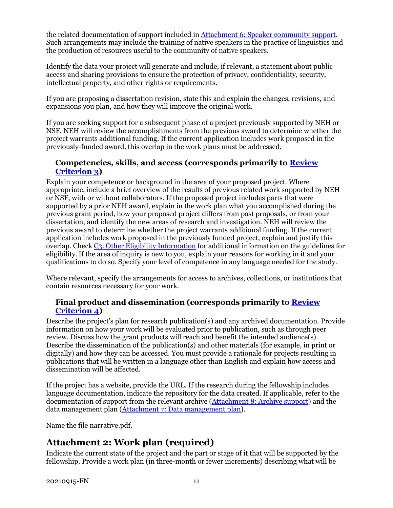the related documentation of support included in [Attachment 6: Speaker community support.](#page-15-1) Such arrangements may include the training of native speakers in the practice of linguistics and the production of resources useful to the community of native speakers.

Identify the data your project will generate and include, if relevant, a statement about public access and sharing provisions to ensure the protection of privacy, confidentiality, security, intellectual property, and other rights or requirements.

If you are proposing a dissertation revision, state this and explain the changes, revisions, and expansions you plan, and how they will improve the original work.

If you are seeking support for a subsequent phase of a project previously supported by NEH or NSF, NEH will review the accomplishments from the previous award to determine whether the project warrants additional funding. If the current application includes work proposed in the previously-funded award, this overlap in the work plans must be addressed.

#### <span id="page-13-1"></span>**Competencies, skills, and access (corresponds primarily to [Review](#page-19-1)  [Criterion](#page-19-1) 3)**

Explain your competence or background in the area of your proposed project. Where appropriate, include a brief overview of the results of previous related work supported by NEH or NSF, with or without collaborators. If the proposed project includes parts that were supported by a prior NEH award, explain in the work plan what you accomplished during the previous grant period, how your proposed project differs from past proposals, or from your dissertation, and identify the new areas of research and investigation. NEH will review the previous award to determine whether the project warrants additional funding. If the current application includes work proposed in the previously funded project, explain and justify this overlap. Check [C3. Other Eligibility Information](#page-6-1) for additional information on the guidelines for eligibility.If the area of inquiry is new to you, explain your reasons for working in it and your qualifications to do so. Specify your level of competence in any language needed for the study.

Where relevant, specify the arrangements for access to archives, collections, or institutions that contain resources necessary for your work.

#### <span id="page-13-2"></span>**Final product and dissemination (corresponds primarily to [Review](#page-19-1)  [Criterion](#page-19-1) 4)**

Describe the project's plan for research publication(s) and any archived documentation. Provide information on how your work will be evaluated prior to publication, such as through peer review. Discuss how the grant products will reach and benefit the intended audience(s). Describe the dissemination of the publication(s) and other materials (for example, in print or digitally) and how they can be accessed. You must provide a rationale for projects resulting in publications that will be written in a language other than English and explain how access and dissemination will be affected.

If the project has a website, provide the URL. If the research during the fellowship includes language documentation, indicate the repository for the data created. If applicable, refer to the documentation of support from the relevant archive [\(Attachment 8: Archive support\)](#page-15-3) and the data management plan [\(Attachment 7: Data management plan\)](#page-15-2).

Name the file narrative.pdf.

### <span id="page-13-0"></span>**Attachment 2: Work plan (required)**

Indicate the current state of the project and the part or stage of it that will be supported by the fellowship. Provide a work plan (in three-month or fewer increments) describing what will be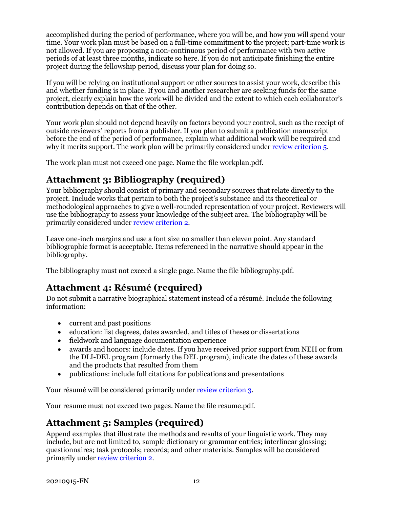accomplished during the period of performance, where you will be, and how you will spend your time. Your work plan must be based on a full-time commitment to the project; part-time work is not allowed. If you are proposing a non-continuous period of performance with two active periods of at least three months, indicate so here. If you do not anticipate finishing the entire project during the fellowship period, discuss your plan for doing so.

If you will be relying on institutional support or other sources to assist your work, describe this and whether funding is in place. If you and another researcher are seeking funds for the same project, clearly explain how the work will be divided and the extent to which each collaborator's contribution depends on that of the other.

Your work plan should not depend heavily on factors beyond your control, such as the receipt of outside reviewers' reports from a publisher. If you plan to submit a publication manuscript before the end of the period of performance, explain what additional work will be required and why it merits support. The work plan will be primarily considered under [review criterion 5.](#page-19-1)

The work plan must not exceed one page. Name the file workplan.pdf.

### **Attachment 3: Bibliography (required)**

Your bibliography should consist of primary and secondary sources that relate directly to the project. Include works that pertain to both the project's substance and its theoretical or methodological approaches to give a well-rounded representation of your project. Reviewers will use the bibliography to assess your knowledge of the subject area. The bibliography will be primarily considered unde[r review criterion 2.](#page-19-1)

Leave one-inch margins and use a font size no smaller than eleven point. Any standard bibliographic format is acceptable. Items referenced in the narrative should appear in the bibliography.

The bibliography must not exceed a single page. Name the file bibliography.pdf.

### <span id="page-14-0"></span>**Attachment 4: Résumé (required)**

Do not submit a narrative biographical statement instead of a résumé. Include the following information:

- current and past positions
- education: list degrees, dates awarded, and titles of theses or dissertations
- fieldwork and language documentation experience
- awards and honors: include dates. If you have received prior support from NEH or from the DLI-DEL program (formerly the DEL program), indicate the dates of these awards and the products that resulted from them
- publications: include full citations for publications and presentations

Your résumé will be considered primarily under [review criterion 3.](#page-19-1)

<span id="page-14-1"></span>Your resume must not exceed two pages. Name the file resume.pdf.

### **Attachment 5: Samples (required)**

Append examples that illustrate the methods and results of your linguistic work. They may include, but are not limited to, sample dictionary or grammar entries; interlinear glossing; questionnaires; task protocols; records; and other materials. Samples will be considered primarily under [review criterion 2.](#page-19-1)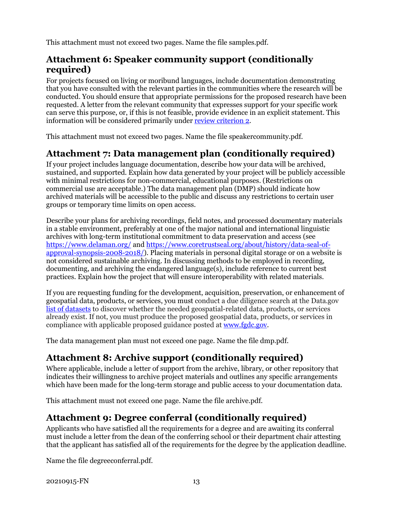This attachment must not exceed two pages. Name the file samples.pdf.

### <span id="page-15-1"></span>**Attachment 6: Speaker community support (conditionally required)**

For projects focused on living or moribund languages, include documentation demonstrating that you have consulted with the relevant parties in the communities where the research will be conducted. You should ensure that appropriate permissions for the proposed research have been requested. A letter from the relevant community that expresses support for your specific work can serve this purpose, or, if this is not feasible, provide evidence in an explicit statement. This information will be considered primarily under [review criterion 2.](#page-19-1)

This attachment must not exceed two pages. Name the file speakercommunity.pdf.

### <span id="page-15-2"></span>**Attachment 7: Data management plan (conditionally required)**

If your project includes language documentation, describe how your data will be archived, sustained, and supported. Explain how data generated by your project will be publicly accessible with minimal restrictions for non-commercial, educational purposes. (Restrictions on commercial use are acceptable.) The data management plan (DMP) should indicate how archived materials will be accessible to the public and discuss any restrictions to certain user groups or temporary time limits on open access.

Describe your plans for archiving recordings, field notes, and processed documentary materials in a stable environment, preferably at one of the major national and international linguistic archives with long-term institutional commitment to data preservation and access (see <https://www.delaman.org/> and [https://www.coretrustseal.org/about/history/data-seal-of](https://www.coretrustseal.org/about/history/data-seal-of-approval-synopsis-2008-2018/)[approval-synopsis-2008-2018/\)](https://www.coretrustseal.org/about/history/data-seal-of-approval-synopsis-2008-2018/). Placing materials in personal digital storage or on a website is not considered sustainable archiving. In discussing methods to be employed in recording, documenting, and archiving the endangered language(s), include reference to current best practices. Explain how the project that will ensure interoperability with related materials.

If you are requesting funding for the development, acquisition, preservation, or enhancement of geospatial data, products, or services, you must conduct a due diligence search at the Data.gov [list of datasets](https://catalog.data.gov/dataset) to discover whether the needed geospatial-related data, products, or services already exist. If not, you must produce the proposed geospatial data, products, or services in compliance with applicable proposed guidance posted at [www.fgdc.gov.](http://www.fgdc.gov/)

The data management plan must not exceed one page. Name the file dmp.pdf.

## <span id="page-15-3"></span>**Attachment 8: Archive support (conditionally required)**

Where applicable, include a letter of support from the archive, library, or other repository that indicates their willingness to archive project materials and outlines any specific arrangements which have been made for the long-term storage and public access to your documentation data.

This attachment must not exceed one page. Name the file archive.pdf.

### <span id="page-15-0"></span>**Attachment 9: Degree conferral (conditionally required)**

Applicants who have satisfied all the requirements for a degree and are awaiting its conferral must include a letter from the dean of the conferring school or their department chair attesting that the applicant has satisfied all of the requirements for the degree by the application deadline.

Name the file degreeconferral.pdf.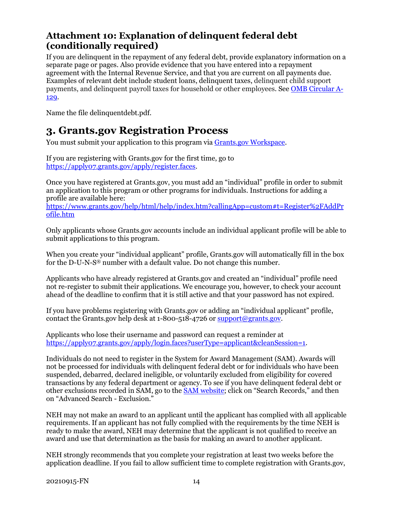### <span id="page-16-1"></span>**Attachment 10: Explanation of delinquent federal debt (conditionally required)**

If you are delinquent in the repayment of any federal debt, provide explanatory information on a separate page or pages. Also provide evidence that you have entered into a repayment agreement with the Internal Revenue Service, and that you are current on all payments due. Examples of relevant debt include student loans, delinquent taxes, delinquent child support payments, and delinquent payroll taxes for household or other employees. See [OMB Circular A-](https://www.whitehouse.gov/sites/whitehouse.gov/files/omb/circulars/A129/a-129.pdf)[129.](https://www.whitehouse.gov/sites/whitehouse.gov/files/omb/circulars/A129/a-129.pdf)

Name the file delinquentdebt.pdf.

### **3. Grants.gov Registration Process**

<span id="page-16-0"></span>You must submit your application to this program via [Grants.gov Workspace.](https://www.grants.gov/web/grants/applicants/workspace-overview.html)

If you are registering with Grants.gov for the first time, go to [https://apply07.grants.gov/apply/register.faces.](https://apply07.grants.gov/apply/register.faces)

Once you have registered at Grants.gov, you must add an "individual" profile in order to submit an application to this program or other programs for individuals. Instructions for adding a profile are available here:

[https://www.grants.gov/help/html/help/index.htm?callingApp=custom#t=Register%2FAddPr](https://www.grants.gov/help/html/help/index.htm?callingApp=custom#t=Register%2FAddProfile.htm) [ofile.htm](https://www.grants.gov/help/html/help/index.htm?callingApp=custom#t=Register%2FAddProfile.htm)

Only applicants whose Grants.gov accounts include an individual applicant profile will be able to submit applications to this program.

When you create your "individual applicant" profile, Grants.gov will automatically fill in the box for the D-U-N-S® number with a default value. Do not change this number.

Applicants who have already registered at Grants.gov and created an "individual" profile need not re-register to submit their applications. We encourage you, however, to check your account ahead of the deadline to confirm that it is still active and that your password has not expired.

If you have problems registering with Grants.gov or adding an "individual applicant" profile, contact the Grants.gov help desk at  $1-800-518-4726$  or  $\frac{\text{support@grants.gov}}{\text{query}}$ .

Applicants who lose their username and password can request a reminder at [https://apply07.grants.gov/apply/login.faces?userType=applicant&cleanSession=1.](https://apply07.grants.gov/apply/login.faces?userType=applicant&cleanSession=1)

Individuals do not need to register in the System for Award Management (SAM). Awards will not be processed for individuals with delinquent federal debt or for individuals who have been suspended, debarred, declared ineligible, or voluntarily excluded from eligibility for covered transactions by any federal department or agency. To see if you have delinquent federal debt or other exclusions recorded in SAM, go to the [SAM website;](https://www.sam.gov/SAM/pages/public/searchRecords/search.jsf) click on "Search Records," and then on "Advanced Search - Exclusion."

NEH may not make an award to an applicant until the applicant has complied with all applicable requirements. If an applicant has not fully complied with the requirements by the time NEH is ready to make the award, NEH may determine that the applicant is not qualified to receive an award and use that determination as the basis for making an award to another applicant.

NEH strongly recommends that you complete your registration at least two weeks before the application deadline. If you fail to allow sufficient time to complete registration with Grants.gov,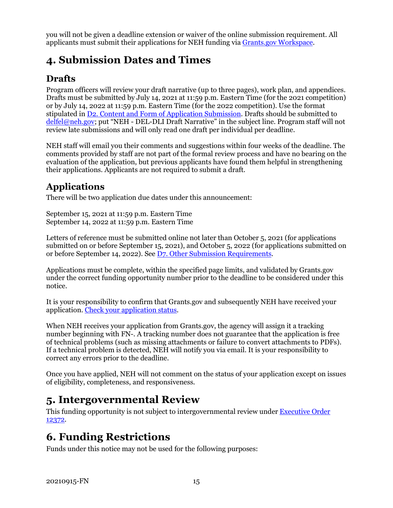you will not be given a deadline extension or waiver of the online submission requirement. All applicants must submit their applications for NEH funding via [Grants.gov Workspace.](https://www.grants.gov/web/grants/applicants/workspace-overview.html)

# <span id="page-17-0"></span>**4. Submission Dates and Times**

## **Drafts**

Program officers will review your draft narrative (up to three pages), work plan, and appendices. Drafts must be submitted by July 14, 2021 at 11:59 p.m. Eastern Time (for the 2021 competition) or by July 14, 2022 at 11:59 p.m. Eastern Time (for the 2022 competition). Use the format stipulated i[n D2. Content and Form of Application Submission.](#page-8-0) Drafts should be submitted to [delfel@neh.gov;](mailto:delfel@neh.gov) put "NEH - DEL-DLI Draft Narrative" in the subject line. Program staff will not review late submissions and will only read one draft per individual per deadline.

NEH staff will email you their comments and suggestions within four weeks of the deadline. The comments provided by staff are not part of the formal review process and have no bearing on the evaluation of the application, but previous applicants have found them helpful in strengthening their applications. Applicants are not required to submit a draft.

### **Applications**

There will be two application due dates under this announcement:

September 15, 2021 at 11:59 p.m. Eastern Time September 14, 2022 at 11:59 p.m. Eastern Time

Letters of reference must be submitted online not later than October 5, 2021 (for applications submitted on or before September 15, 2021), and October 5, 2022 (for applications submitted on or before September 14, 2022). Se[e D7. Other Submission Requirements.](#page-18-0)

Applications must be complete, within the specified page limits, and validated by Grants.gov under the correct funding opportunity number prior to the deadline to be considered under this notice.

It is your responsibility to confirm that Grants.gov and subsequently NEH have received your application. [Check your application status.](https://www.grants.gov/help/html/help/Applicants/CheckApplicationStatus/CheckApplicationStatus.htm)

When NEH receives your application from Grants.gov, the agency will assign it a tracking number beginning with FN-. A tracking number does not guarantee that the application is free of technical problems (such as missing attachments or failure to convert attachments to PDFs). If a technical problem is detected, NEH will notify you via email. It is your responsibility to correct any errors prior to the deadline.

Once you have applied, NEH will not comment on the status of your application except on issues of eligibility, completeness, and responsiveness.

# <span id="page-17-1"></span>**5. Intergovernmental Review**

This funding opportunity is not subject to intergovernmental review under [Executive Order](https://www.archives.gov/federal-register/codification/executive-order/12372.html)  [12372.](https://www.archives.gov/federal-register/codification/executive-order/12372.html)

# <span id="page-17-2"></span>**6. Funding Restrictions**

Funds under this notice may not be used for the following purposes: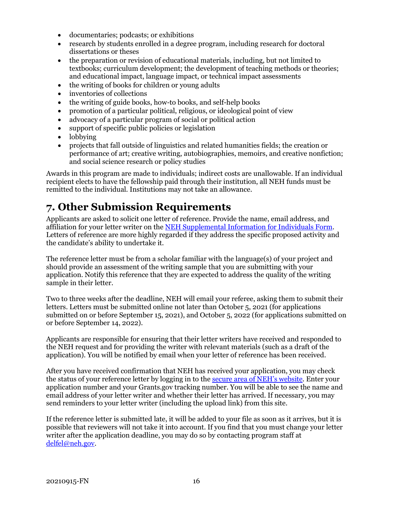- documentaries; podcasts; or exhibitions
- research by students enrolled in a degree program, including research for doctoral dissertations or theses
- the preparation or revision of educational materials, including, but not limited to textbooks; curriculum development; the development of teaching methods or theories; and educational impact, language impact, or technical impact assessments
- the writing of books for children or young adults
- inventories of collections
- the writing of guide books, how-to books, and self-help books
- promotion of a particular political, religious, or ideological point of view
- advocacy of a particular program of social or political action
- support of specific public policies or legislation
- lobbying
- projects that fall outside of linguistics and related humanities fields; the creation or performance of art; creative writing, autobiographies, memoirs, and creative nonfiction; and social science research or policy studies

Awards in this program are made to individuals; indirect costs are unallowable. If an individual recipient elects to have the fellowship paid through their institution, all NEH funds must be remitted to the individual. Institutions may not take an allowance.

# <span id="page-18-0"></span>**7. Other Submission Requirements**

Applicants are asked to solicit one letter of reference. Provide the name, email address, and affiliation for your letter writer on the [NEH Supplemental Information for Individuals Form.](#page-10-0) Letters of reference are more highly regarded if they address the specific proposed activity and the candidate's ability to undertake it.

The reference letter must be from a scholar familiar with the language(s) of your project and should provide an assessment of the writing sample that you are submitting with your application. Notify this reference that they are expected to address the quality of the writing sample in their letter.

Two to three weeks after the deadline, NEH will email your referee, asking them to submit their letters. Letters must be submitted online not later than October 5, 2021 (for applications submitted on or before September 15, 2021), and October 5, 2022 (for applications submitted on or before September 14, 2022).

Applicants are responsible for ensuring that their letter writers have received and responded to the NEH request and for providing the writer with relevant materials (such as a draft of the application). You will be notified by email when your letter of reference has been received.

After you have received confirmation that NEH has received your application, you may check the status of your reference letter by logging in to th[e secure area of NEH's website.](https://securegrants.neh.gov/AppStatus) Enter your application number and your Grants.gov tracking number. You will be able to see the name and email address of your letter writer and whether their letter has arrived. If necessary, you may send reminders to your letter writer (including the upload link) from this site.

If the reference letter is submitted late, it will be added to your file as soon as it arrives, but it is possible that reviewers will not take it into account. If you find that you must change your letter writer after the application deadline, you may do so by contacting program staff at [delfel@neh.gov.](mailto:delfel@neh.gov)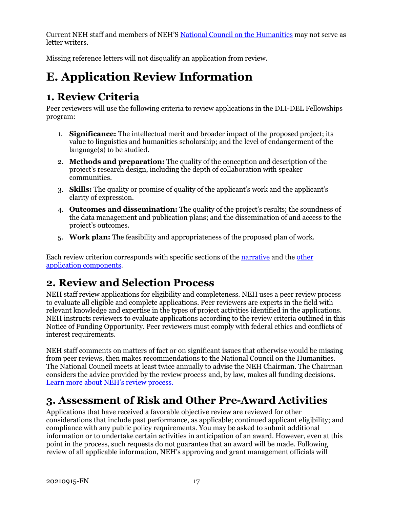Current NEH staff and members of NEH'S [National Council on the Humanities](https://www.neh.gov/about/national-council-on-the-humanities) may not serve as letter writers.

Missing reference letters will not disqualify an application from review.

# <span id="page-19-0"></span>**E. Application Review Information**

# <span id="page-19-1"></span>**1. Review Criteria**

Peer reviewers will use the following criteria to review applications in the DLI-DEL Fellowships program:

- 1. **Significance:** The intellectual merit and broader impact of the proposed project; its value to linguistics and humanities scholarship; and the level of endangerment of the language(s) to be studied.
- 2. **Methods and preparation:** The quality of the conception and description of the project's research design, including the depth of collaboration with speaker communities.
- 3. **Skills:** The quality or promise of quality of the applicant's work and the applicant's clarity of expression.
- 4. **Outcomes and dissemination:** The quality of the project's results; the soundness of the data management and publication plans; and the dissemination of and access to the project's outcomes.
- 5. **Work plan:** The feasibility and appropriateness of the proposed plan of work.

Each review criterion corresponds with specific sections of the [narrative](#page-11-2) and the [other](#page-8-0)  [application components.](#page-8-0)

# <span id="page-19-2"></span>**2. Review and Selection Process**

NEH staff review applications for eligibility and completeness. NEH uses a peer review process to evaluate all eligible and complete applications. Peer reviewers are experts in the field with relevant knowledge and expertise in the types of project activities identified in the applications. NEH instructs reviewers to evaluate applications according to the review criteria outlined in this Notice of Funding Opportunity. Peer reviewers must comply with federal ethics and conflicts of interest requirements.

NEH staff comments on matters of fact or on significant issues that otherwise would be missing from peer reviews, then makes recommendations to the National Council on the Humanities. The National Council meets at least twice annually to advise the NEH Chairman. The Chairman considers the advice provided by the review process and, by law, makes all funding decisions. [Learn more about NEH's review process.](https://www.neh.gov/grants/application-process)

# <span id="page-19-3"></span>**3. Assessment of Risk and Other Pre-Award Activities**

Applications that have received a favorable objective review are reviewed for other considerations that include past performance, as applicable; continued applicant eligibility; and compliance with any public policy requirements. You may be asked to submit additional information or to undertake certain activities in anticipation of an award. However, even at this point in the process, such requests do not guarantee that an award will be made. Following review of all applicable information, NEH's approving and grant management officials will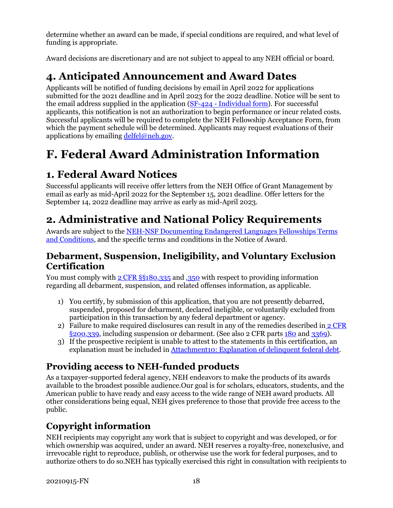determine whether an award can be made, if special conditions are required, and what level of funding is appropriate.

Award decisions are discretionary and are not subject to appeal to any NEH official or board.

# <span id="page-20-0"></span>**4. Anticipated Announcement and Award Dates**

Applicants will be notified of funding decisions by email in April 2022 for applications submitted for the 2021 deadline and in April 2023 for the 2022 deadline. Notice will be sent to the email address supplied in the application (SF-424 - [Individual form\)](#page-8-1). For successful applicants, this notification is not an authorization to begin performance or incur related costs. Successful applicants will be required to complete the NEH Fellowship Acceptance Form, from which the payment schedule will be determined. Applicants may request evaluations of their applications by emailing  $\text{delfel@neh.gov.}$  $\text{delfel@neh.gov.}$  $\text{delfel@neh.gov.}$ 

# <span id="page-20-1"></span>**F. Federal Award Administration Information**

# <span id="page-20-2"></span>**1. Federal Award Notices**

Successful applicants will receive offer letters from the NEH Office of Grant Management by email as early as mid-April 2022 for the September 15, 2021 deadline. Offer letters for the September 14, 2022 deadline may arrive as early as mid-April 2023.

# <span id="page-20-3"></span>**2. Administrative and National Policy Requirements**

Awards are subject to the [NEH-NSF Documenting Endangered Languages Fellowships Terms](https://www.neh.gov/grants/manage/neh-nsf-documenting-endangered-languages-fellowships-terms-and-conditions)  [and Conditions,](https://www.neh.gov/grants/manage/neh-nsf-documenting-endangered-languages-fellowships-terms-and-conditions) and the specific terms and conditions in the Notice of Award.

### **Debarment, Suspension, Ineligibility, and Voluntary Exclusion Certification**

You must comply with [2 CFR §§180.335](https://www.ecfr.gov/cgi-bin/text-idx?node=2:1.1.1.2.9.3.3.8&rgn=div8) an[d .350](https://www.ecfr.gov/cgi-bin/text-idx?SID=8484a1410effbe760bcb6b134d9c035a&mc=true&node=pt2.1.180&rgn=div5#se2.1.180_1350) with respect to providing information regarding all debarment, suspension, and related offenses information, as applicable.

- 1) You certify, by submission of this application, that you are not presently debarred, suspended, proposed for debarment, declared ineligible, or voluntarily excluded from participation in this transaction by any federal department or agency.
- 2) Failure to make required disclosures can result in any of the remedies described in  $2 \text{ CFR}$ [§200.339,](https://www.ecfr.gov/cgi-bin/text-idx?SID=2262ad9c20e9d3a49f2c569c773c8aa1&mc=true&node=pt2.1.200&rgn=div5#se2.1.200_1339) including suspension or debarment. (See also 2 CFR parts [180](https://www.ecfr.gov/cgi-bin/text-idx?tpl=/ecfrbrowse/Title02/2cfr180_main_02.tpl) and [3369\)](https://www.ecfr.gov/cgi-bin/text-idx?SID=902a748402bef7d8543f27adaf553773&mc=true&node=pt2.1.3369&rgn=div5).
- 3) If the prospective recipient is unable to attest to the statements in this certification, an explanation must be included in [Attachment10: Explanation of delinquent federal debt.](#page-16-1)

## **Providing access to NEH-funded products**

As a taxpayer-supported federal agency, NEH endeavors to make the products of its awards available to the broadest possible audience.Our goal is for scholars, educators, students, and the American public to have ready and easy access to the wide range of NEH award products. All other considerations being equal, NEH gives preference to those that provide free access to the public.

## **Copyright information**

NEH recipients may copyright any work that is subject to copyright and was developed, or for which ownership was acquired, under an award. NEH reserves a royalty-free, nonexclusive, and irrevocable right to reproduce, publish, or otherwise use the work for federal purposes, and to authorize others to do so.NEH has typically exercised this right in consultation with recipients to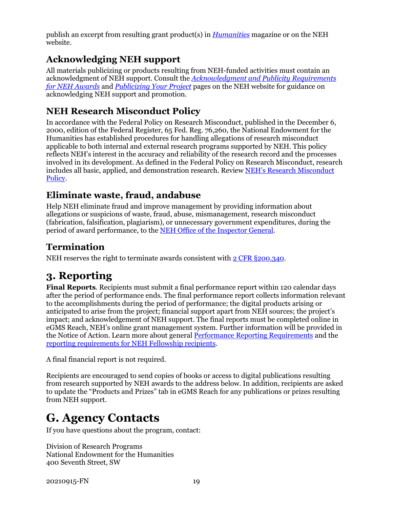publish an excerpt from resulting grant product(s) in *[Humanities](https://www.neh.gov/humanities)* magazine or on the NEH website.

### **Acknowledging NEH support**

All materials publicizing or products resulting from NEH-funded activities must contain an acknowledgment of NEH support. Consult the *[Acknowledgment and Publicity Requirements](https://www.neh.gov/grants/manage/acknowledgment-and-publicity-requirements-neh-awards)  [for NEH Awards](https://www.neh.gov/grants/manage/acknowledgment-and-publicity-requirements-neh-awards)* and *[Publicizing Your Project](https://www.neh.gov/grants/manage/publicizing-your-project)* pages on the NEH website for guidance on acknowledging NEH support and promotion.

### **NEH Research Misconduct Policy**

In accordance with the Federal Policy on Research Misconduct, published in the December 6, 2000, edition of the Federal Register, 65 Fed. Reg. 76,260, the National Endowment for the Humanities has established procedures for handling allegations of research misconduct applicable to both internal and external research programs supported by NEH. This policy reflects NEH's interest in the accuracy and reliability of the research record and the processes involved in its development. As defined in the Federal Policy on Research Misconduct, research includes all basic, applied, and demonstration research. Review [NEH's Research Misconduct](http://www.neh.gov/grants/manage/research-misconduct-policy)  [Policy.](http://www.neh.gov/grants/manage/research-misconduct-policy)

### **Eliminate waste, fraud, andabuse**

Help NEH eliminate fraud and improve management by providing information about allegations or suspicions of waste, fraud, abuse, mismanagement, research misconduct (fabrication, falsification, plagiarism), or unnecessary government expenditures, during the period of award performance, to the [NEH Office of the Inspector General.](https://www.neh.gov/about/oig)

### **Termination**

NEH reserves the right to terminate awards consistent wit[h 2 CFR §200.340.](https://www.ecfr.gov/cgi-bin/text-idx?SID=4eaffe984905bd3954347ba4972872ee&mc=true&node=pt2.1.200&rgn=div5#se2.1.200_1340)

# <span id="page-21-0"></span>**3. Reporting**

**Final Reports**. Recipients must submit a final performance report within 120 calendar days after the period of performance ends. The final performance report collects information relevant to the accomplishments during the period of performance; the digital products arising or anticipated to arise from the project; financial support apart from NEH sources; the project's impact; and acknowledgement of NEH support. The final reports must be completed online in eGMS Reach, NEH's online grant management system. Further information will be provided in the Notice of Action. Learn more about general [Performance Reporting Requirements](https://www.neh.gov/grants/manage/performance-reporting-requirements) and the [reporting requirements for NEH Fellowship recipients.](https://www.neh.gov/grants/manage/instructions-submitting-the-final-performance-report-neh-fellowships-faculty-research)

A final financial report is not required.

Recipients are encouraged to send copies of books or access to digital publications resulting from research supported by NEH awards to the address below. In addition, recipients are asked to update the "Products and Prizes" tab in eGMS Reach for any publications or prizes resulting from NEH support.

# <span id="page-21-1"></span>**G. Agency Contacts**

If you have questions about the program, contact:

Division of Research Programs National Endowment for the Humanities 400 Seventh Street, SW

20210915-FN 19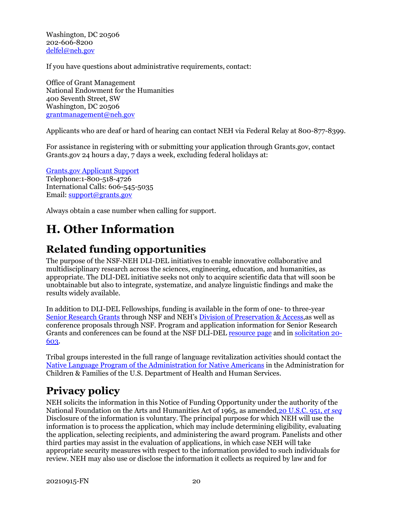Washington, DC 20506 202-606-8200 [delfel@neh.gov](mailto:delfel@neh.gov)

If you have questions about administrative requirements, contact:

Office of Grant Management National Endowment for the Humanities 400 Seventh Street, SW Washington, DC 20506 [grantmanagement@neh.gov](mailto:grantmanagement@neh.gov)

Applicants who are deaf or hard of hearing can contact NEH via Federal Relay at 800-877-8399.

For assistance in registering with or submitting your application through Grants.gov, contact Grants.gov 24 hours a day, 7 days a week, excluding federal holidays at:

[Grants.gov Applicant Support](https://www.grants.gov/web/grants/support.html) Telephone:1-800-518-4726 International Calls: 606-545-5035 Email: [support@grants.gov](mailto:support@grants.gov)

Always obtain a case number when calling for support.

# <span id="page-22-0"></span>**H. Other Information**

# **Related funding opportunities**

<span id="page-22-1"></span>The purpose of the NSF-NEH DLI-DEL initiatives to enable innovative collaborative and multidisciplinary research across the sciences, engineering, education, and humanities, as appropriate. The DLI-DEL initiative seeks not only to acquire scientific data that will soon be unobtainable but also to integrate, systematize, and analyze linguistic findings and make the results widely available.

In addition to DLI-DEL Fellowships, funding is available in the form of one- to three-year [Senior Research Grants](https://www.neh.gov/grants/preservation/documenting-endangered-languages) through NSF and NEH's [Division of Preservation & Access,](https://www.neh.gov/divisions/preservation)as well as conference proposals through NSF. Program and application information for Senior Research Grants and conferences can be found at the NSF DLI-DEL [resource page](https://www.nsf.gov/funding/pgm_summ.jsp?pims_id=505705) and in [solicitation 20-](https://www.nsf.gov/publications/pub_summ.jsp?ods_key=nsf20603) [603.](https://www.nsf.gov/publications/pub_summ.jsp?ods_key=nsf20603)

Tribal groups interested in the full range of language revitalization activities should contact the [Native Language Program of the Administration for Native Americans](https://www.acf.hhs.gov/ana/programs/native-language-preservation-maintenance) in the Administration for Children & Families of the U.S. Department of Health and Human Services.

## <span id="page-22-2"></span>**Privacy policy**

NEH solicits the information in this Notice of Funding Opportunity under the authority of the National Foundation on the Arts and Humanities Act of 1965, as amended[,20 U.S.C. 951,](https://uscode.house.gov/view.xhtml?hl=false&edition=prelim&req=granuleid%3AUSC-prelim-title20-section956&num=0&saved=%7CKHRpdGxlOjIwIHNlY3Rpb246OTU2YSBlZGl0aW9uOnByZWxpbSk%3D%7C%7C%7C0%7Cfalse%7Cprelim) *et seq* Disclosure of the information is voluntary. The principal purpose for which NEH will use the information is to process the application, which may include determining eligibility, evaluating the application, selecting recipients, and administering the award program. Panelists and other third parties may assist in the evaluation of applications, in which case NEH will take appropriate security measures with respect to the information provided to such individuals for review. NEH may also use or disclose the information it collects as required by law and for